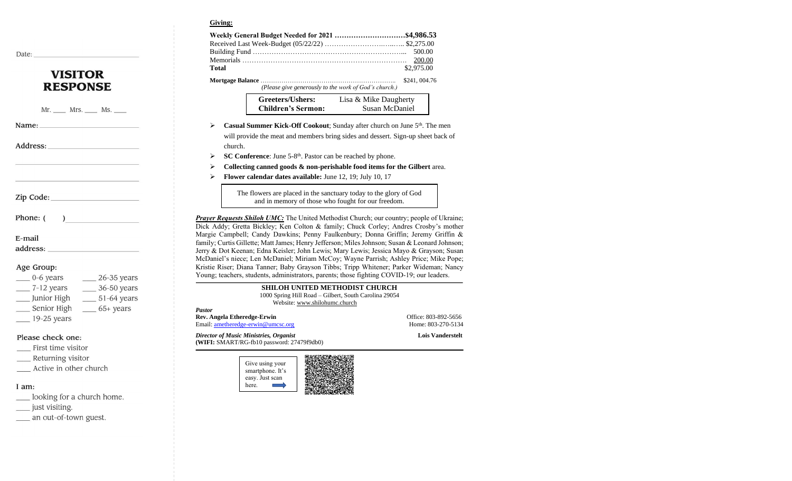#### **Giving:**

| <b>VISITOR</b>  |  |
|-----------------|--|
| <b>RESPONSE</b> |  |

Mr. \_\_\_\_\_ Mrs. \_\_\_\_\_ Ms. \_\_\_\_

Name:

Date:

Address:

Zip Code:

Phone: (

E-mail

address:

#### Age Group:

| $0-6$ years   | $26-35$ years |
|---------------|---------------|
| $7-12$ years  | 36-50 years   |
| Junior High   | $51-64$ years |
| Senior High   | $65+ years$   |
| $19-25$ years |               |

Please check one:

- First time visitor
- Returning visitor
- \_\_ Active in other church

#### I am:

- \_\_ looking for a church home.
- \_\_\_ just visiting.
- \_\_ an out-of-town guest.

| Total                                                 | \$2,975.00   |
|-------------------------------------------------------|--------------|
| (Please give generously to the work of God's church.) | \$241,004.76 |

| Greeters/Ushers:          | Lisa & Mike Daugherty |
|---------------------------|-----------------------|
| <b>Children's Sermon:</b> | Susan McDaniel        |

- ➢ **Casual Summer Kick-Off Cookout**; Sunday after church on June 5th. The men will provide the meat and members bring sides and dessert. Sign-up sheet back of church.
- ➢ **SC Conference**: June 5-8 th. Pastor can be reached by phone.
- ➢ **Collecting canned goods & non-perishable food items for the Gilbert** area.
- ➢ **Flower calendar dates available:** June 12, 19; July 10, 17

The flowers are placed in the sanctuary today to the glory of God and in memory of those who fought for our freedom.

**Prayer Requests Shiloh UMC:** The United Methodist Church; our country; people of Ukraine; Dick Addy; Gretta Bickley; Ken Colton & family; Chuck Corley; Andres Crosby's mother Margie Campbell; Candy Dawkins; Penny Faulkenbury; Donna Griffin; Jeremy Griffin & family; Curtis Gillette; Matt James; Henry Jefferson; Miles Johnson; Susan & Leonard Johnson; Jerry & Dot Keenan; Edna Keisler; John Lewis; Mary Lewis; Jessica Mayo & Grayson; Susan McDaniel's niece; Len McDaniel; Miriam McCoy; Wayne Parrish; Ashley Price; Mike Pope; Kristie Riser; Diana Tanner; Baby Grayson Tibbs; Tripp Whitener; Parker Wideman; Nancy Young; teachers, students, administrators, parents; those fighting COVID-19; our leaders.

> **SHILOH UNITED METHODIST CHURCH** 1000 Spring Hill Road – Gilbert, South Carolina 29054 Website[: www.shilohumc.church](http://www.shilohumc.church/)

| <b>Pastor</b>                                                                           |                         |
|-----------------------------------------------------------------------------------------|-------------------------|
| Rev. Angela Etheredge-Erwin                                                             | Office: 803-892-5656    |
| Email: ametheredge-erwin@umcsc.org                                                      | Home: 803-270-5134      |
| Director of Music Ministries, Organist<br>(WIFI: SMART/RG-fb10 password: $27479f9db0$ ) | <b>Lois Vanderstelt</b> |
| 回游客活动跳动场乐线回                                                                             |                         |